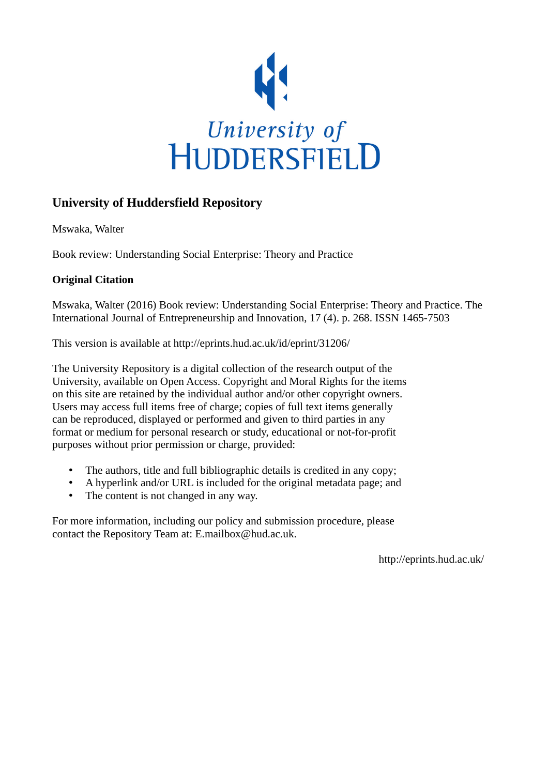

## **University of Huddersfield Repository**

Mswaka, Walter

Book review: Understanding Social Enterprise: Theory and Practice

## **Original Citation**

Mswaka, Walter (2016) Book review: Understanding Social Enterprise: Theory and Practice. The International Journal of Entrepreneurship and Innovation, 17 (4). p. 268. ISSN 1465-7503

This version is available at http://eprints.hud.ac.uk/id/eprint/31206/

The University Repository is a digital collection of the research output of the University, available on Open Access. Copyright and Moral Rights for the items on this site are retained by the individual author and/or other copyright owners. Users may access full items free of charge; copies of full text items generally can be reproduced, displayed or performed and given to third parties in any format or medium for personal research or study, educational or not-for-profit purposes without prior permission or charge, provided:

- The authors, title and full bibliographic details is credited in any copy;
- A hyperlink and/or URL is included for the original metadata page; and
- The content is not changed in any way.

For more information, including our policy and submission procedure, please contact the Repository Team at: E.mailbox@hud.ac.uk.

http://eprints.hud.ac.uk/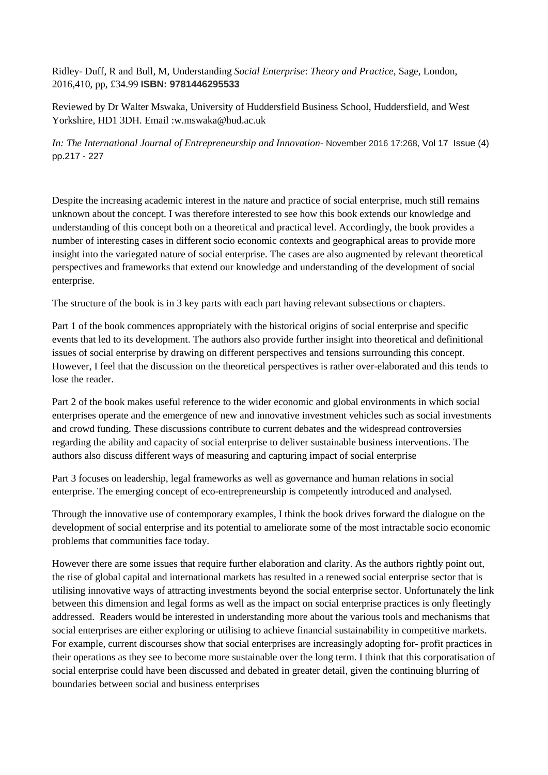Ridley- Duff, R and Bull, M, Understanding *Social Enterprise*: *Theory and Practice*, Sage, London, 2016,410, pp, £34.99 **ISBN: 9781446295533**

Reviewed by Dr Walter Mswaka, University of Huddersfield Business School, Huddersfield, and West Yorkshire, HD1 3DH. Email :w.mswaka@hud.ac.uk

*In: The International Journal of Entrepreneurship and Innovation*- November 2016 17:268, Vol 17 Issue (4) pp.217 - 227

Despite the increasing academic interest in the nature and practice of social enterprise, much still remains unknown about the concept. I was therefore interested to see how this book extends our knowledge and understanding of this concept both on a theoretical and practical level. Accordingly, the book provides a number of interesting cases in different socio economic contexts and geographical areas to provide more insight into the variegated nature of social enterprise. The cases are also augmented by relevant theoretical perspectives and frameworks that extend our knowledge and understanding of the development of social enterprise.

The structure of the book is in 3 key parts with each part having relevant subsections or chapters.

Part 1 of the book commences appropriately with the historical origins of social enterprise and specific events that led to its development. The authors also provide further insight into theoretical and definitional issues of social enterprise by drawing on different perspectives and tensions surrounding this concept. However, I feel that the discussion on the theoretical perspectives is rather over-elaborated and this tends to lose the reader.

Part 2 of the book makes useful reference to the wider economic and global environments in which social enterprises operate and the emergence of new and innovative investment vehicles such as social investments and crowd funding. These discussions contribute to current debates and the widespread controversies regarding the ability and capacity of social enterprise to deliver sustainable business interventions. The authors also discuss different ways of measuring and capturing impact of social enterprise

Part 3 focuses on leadership, legal frameworks as well as governance and human relations in social enterprise. The emerging concept of eco-entrepreneurship is competently introduced and analysed.

Through the innovative use of contemporary examples, I think the book drives forward the dialogue on the development of social enterprise and its potential to ameliorate some of the most intractable socio economic problems that communities face today.

However there are some issues that require further elaboration and clarity. As the authors rightly point out, the rise of global capital and international markets has resulted in a renewed social enterprise sector that is utilising innovative ways of attracting investments beyond the social enterprise sector. Unfortunately the link between this dimension and legal forms as well as the impact on social enterprise practices is only fleetingly addressed. Readers would be interested in understanding more about the various tools and mechanisms that social enterprises are either exploring or utilising to achieve financial sustainability in competitive markets. For example, current discourses show that social enterprises are increasingly adopting for- profit practices in their operations as they see to become more sustainable over the long term. I think that this corporatisation of social enterprise could have been discussed and debated in greater detail, given the continuing blurring of boundaries between social and business enterprises